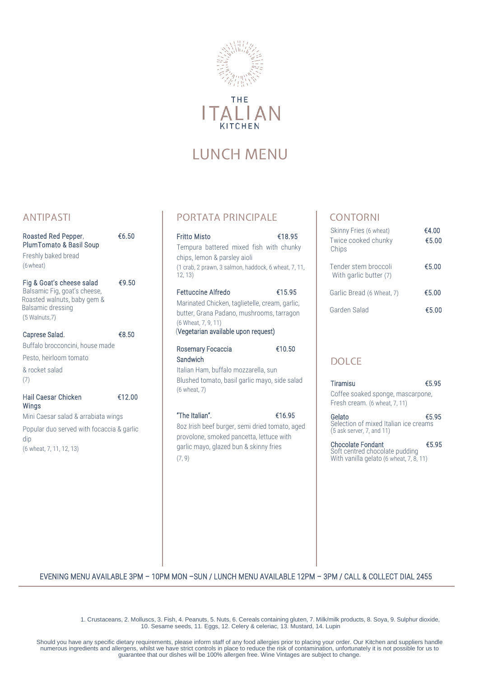

THE TALIA **KITCHEN** 

# LUNCH MENU

### ANTIPASTI

| Roasted Red Pepper.<br>PlumTomato & Basil Soup<br>Freshly baked bread<br>$(6$ wheat $)$                                           | €6.50  |
|-----------------------------------------------------------------------------------------------------------------------------------|--------|
| Fig & Goat's cheese salad<br>Balsamic Fig, goat's cheese,<br>Roasted walnuts, baby gem &<br>Balsamic dressing<br>$(5$ Walnuts, 7) | €9.50  |
| Caprese Salad.                                                                                                                    | €8.50  |
| Buffalo brocconcini, house made                                                                                                   |        |
| Pesto, heirloom tomato                                                                                                            |        |
| & rocket salad<br>(7)                                                                                                             |        |
| Hail Caesar Chicken<br>Wings                                                                                                      | €12.00 |
| Mini Caesar salad & arrabiata wings                                                                                               |        |
| Popular duo served with focaccia & garlic<br>dip                                                                                  |        |
| (6 wheat, 7, 11, 12, 13)                                                                                                          |        |

PORTATA PRINCIPALE

| Fritto Misto                                                                                                                                                                           | €18.95 |
|----------------------------------------------------------------------------------------------------------------------------------------------------------------------------------------|--------|
| Tempura battered mixed fish with chunky<br>chips, lemon & parsley aioli                                                                                                                |        |
| (1 crab, 2 prawn, 3 salmon, haddock, 6 wheat, 7, 11,<br>12, 13)                                                                                                                        |        |
| <b>Fettuccine Alfredo</b><br>Marinated Chicken, taglietelle, cream, garlic,<br>butter, Grana Padano, mushrooms, tarragon<br>(6 Wheat, 7, 9, 11)<br>(Vegetarian available upon request) | €15.95 |
| Rosemary Focaccia<br>Sandwich<br>Italian Ham, buffalo mozzarella, sun<br>Blushed tomato, basil garlic mayo, side salad<br>(6 wheat, 7)                                                 | €10.50 |
| "The Italian".<br>8oz Irish beef burger, semi dried tomato, aged<br>provolone, smoked pancetta, lettuce with<br>garlic mayo, glazed bun & skinny fries<br>(7, 9)                       | €16.95 |

#### CONTORNI

| Skinny Fries (6 wheat)<br>Twice cooked chunky<br>Chips | €4.00<br>€5.00 |
|--------------------------------------------------------|----------------|
| Tender stem broccoli<br>With garlic butter (7)         | €5.00          |
| Garlic Bread (6 Wheat, 7)                              | €5.00          |
| Garden Salad                                           | €5.00          |

## DOLCE

| Tiramisu                          | €5.95 |
|-----------------------------------|-------|
| Coffee soaked sponge, mascarpone, |       |
| Fresh cream. (6 wheat, 7, 11)     |       |

Gelato  $\epsilon$ 5.95 Selection of mixed Italian ice creams (5 ask server, 7, and 11)

Chocolate Fondant €5.95 Soft centred chocolate pudding With vanilla gelato (6 wheat, 7, 8, 11)

#### EVENING MENU AVAILABLE 3PM – 10PM MON –SUN / LUNCH MENU AVAILABLE 12PM – 3PM / CALL & COLLECT DIAL 2455

1. Crustaceans, 2. Molluscs, 3. Fish, 4. Peanuts, 5. Nuts, 6. Cereals containing gluten, 7. Milk/milk products, 8. Soya, 9. Sulphur dioxide, 10. Sesame seeds, 11. Eggs, 12. Celery & celeriac, 13. Mustard, 14. Lupin

Should you have any specific dietary requirements, please inform staff of any food allergies prior to placing your order. Our Kitchen and suppliers handle numerous ingredients and allergens, whilst we have strict controls in place to reduce the risk of contamination, unfortunately it is not possible for us to<br>guarantee that our dishes will be 100% allergen free. Wine Vintage